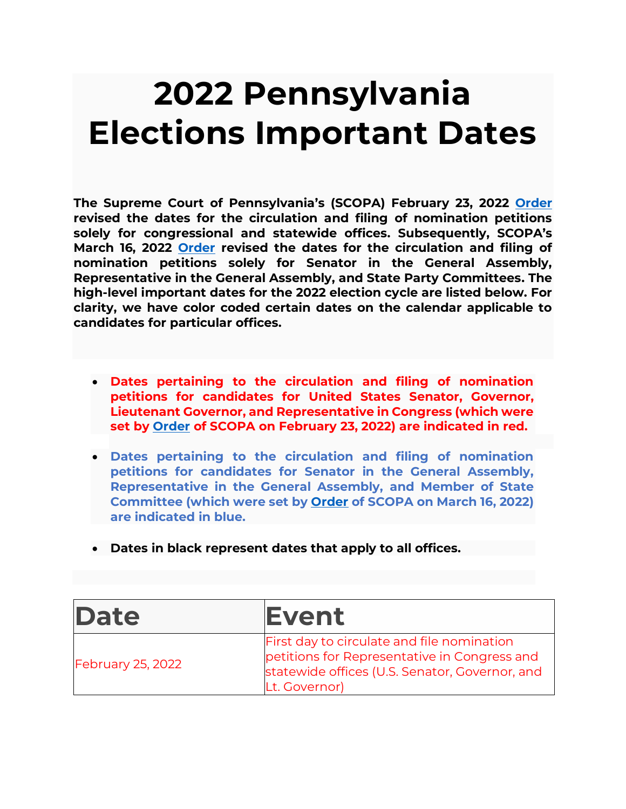## **2022 Pennsylvania Elections Important Dates**

**The Supreme Court of Pennsylvania's (SCOPA) February 23, 2022 [Order](https://www.pacourts.us/Storage/media/pdfs/20220223/162516-7mm2022-orderadopting2022congressionalplan(withmap).pdf) revised the dates for the circulation and filing of nomination petitions solely for congressional and statewide offices. Subsequently, SCOPA's March 16, 2022 [Order](https://www.pacourts.us/Storage/media/pdfs/20220316/195658-569jadorder3-16-2022.pdf) revised the dates for the circulation and filing of nomination petitions solely for Senator in the General Assembly, Representative in the General Assembly, and State Party Committees. The high-level important dates for the 2022 election cycle are listed below. For clarity, we have color coded certain dates on the calendar applicable to candidates for particular offices.** 

- **Dates pertaining to the circulation and filing of nomination petitions for candidates for United States Senator, Governor, Lieutenant Governor, and Representative in Congress (which were set by [Order](https://www.pacourts.us/Storage/media/pdfs/20220223/162516-7mm2022-orderadopting2022congressionalplan(withmap).pdf) of SCOPA on February 23, 2022) are indicated in red.**
- **Dates pertaining to the circulation and filing of nomination petitions for candidates for Senator in the General Assembly, Representative in the General Assembly, and Member of State Committee (which were set by [Order](https://www.pacourts.us/Storage/media/pdfs/20220316/195658-569jadorder3-16-2022.pdf) of SCOPA on March 16, 2022) are indicated in blue.**
- **Dates in black represent dates that apply to all offices.**

| Date                     | <b>Event</b>                                                                                                                                                  |
|--------------------------|---------------------------------------------------------------------------------------------------------------------------------------------------------------|
| <b>February 25, 2022</b> | First day to circulate and file nomination<br>petitions for Representative in Congress and<br>statewide offices (U.S. Senator, Governor, and<br>Lt. Governor) |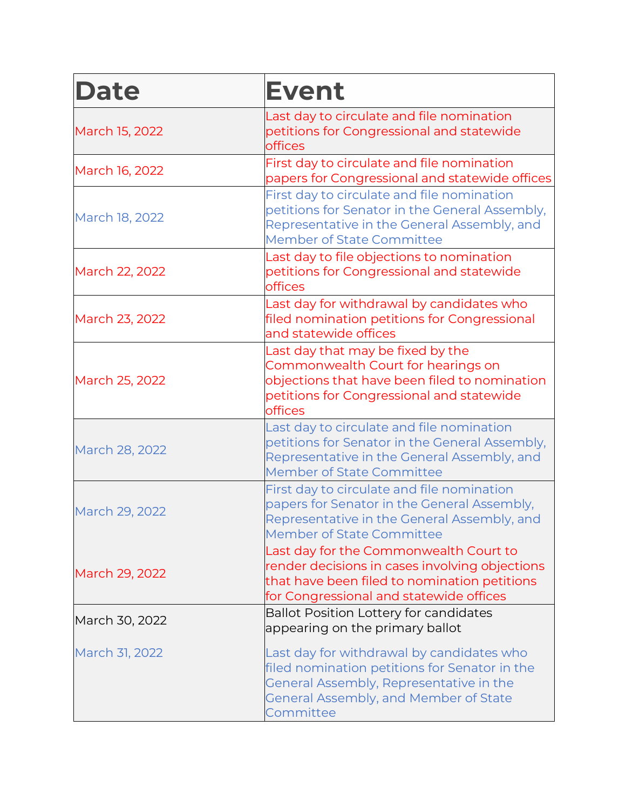| <b>Date</b>    | <b>Event</b>                                                                                                                                                                                |
|----------------|---------------------------------------------------------------------------------------------------------------------------------------------------------------------------------------------|
| March 15, 2022 | Last day to circulate and file nomination<br>petitions for Congressional and statewide<br>offices                                                                                           |
| March 16, 2022 | First day to circulate and file nomination<br>papers for Congressional and statewide offices                                                                                                |
| March 18, 2022 | First day to circulate and file nomination<br>petitions for Senator in the General Assembly,<br>Representative in the General Assembly, and<br>Member of State Committee                    |
| March 22, 2022 | Last day to file objections to nomination<br>petitions for Congressional and statewide<br>offices                                                                                           |
| March 23, 2022 | Last day for withdrawal by candidates who<br>filed nomination petitions for Congressional<br>and statewide offices                                                                          |
| March 25, 2022 | Last day that may be fixed by the<br>Commonwealth Court for hearings on<br>objections that have been filed to nomination<br>petitions for Congressional and statewide<br>offices            |
| March 28, 2022 | Last day to circulate and file nomination<br>petitions for Senator in the General Assembly,<br>Representative in the General Assembly, and<br><b>Member of State Committee</b>              |
| March 29, 2022 | First day to circulate and file nomination<br>papers for Senator in the General Assembly,<br>Representative in the General Assembly, and<br>Member of State Committee                       |
| March 29, 2022 | Last day for the Commonwealth Court to<br>render decisions in cases involving objections<br>that have been filed to nomination petitions<br>for Congressional and statewide offices         |
| March 30, 2022 | <b>Ballot Position Lottery for candidates</b><br>appearing on the primary ballot                                                                                                            |
| March 31, 2022 | Last day for withdrawal by candidates who<br>filed nomination petitions for Senator in the<br>General Assembly, Representative in the<br>General Assembly, and Member of State<br>Committee |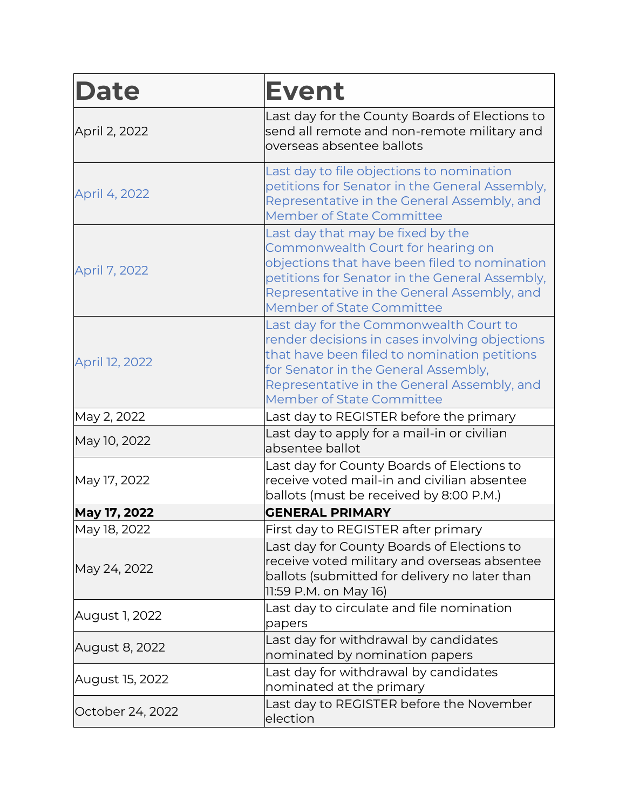| <b>Date</b>      | <b>Event</b>                                                                                                                                                                                                                                                        |
|------------------|---------------------------------------------------------------------------------------------------------------------------------------------------------------------------------------------------------------------------------------------------------------------|
| April 2, 2022    | Last day for the County Boards of Elections to<br>send all remote and non-remote military and<br>overseas absentee ballots                                                                                                                                          |
| April 4, 2022    | Last day to file objections to nomination<br>petitions for Senator in the General Assembly,<br>Representative in the General Assembly, and<br><b>Member of State Committee</b>                                                                                      |
| April 7, 2022    | Last day that may be fixed by the<br>Commonwealth Court for hearing on<br>objections that have been filed to nomination<br>petitions for Senator in the General Assembly,<br>Representative in the General Assembly, and<br><b>Member of State Committee</b>        |
| April 12, 2022   | Last day for the Commonwealth Court to<br>render decisions in cases involving objections<br>that have been filed to nomination petitions<br>for Senator in the General Assembly,<br>Representative in the General Assembly, and<br><b>Member of State Committee</b> |
| May 2, 2022      | Last day to REGISTER before the primary                                                                                                                                                                                                                             |
| May 10, 2022     | Last day to apply for a mail-in or civilian<br>absentee ballot                                                                                                                                                                                                      |
| May 17, 2022     | Last day for County Boards of Elections to<br>receive voted mail-in and civilian absentee<br>ballots (must be received by 8:00 P.M.)                                                                                                                                |
| May 17, 2022     | <b>GENERAL PRIMARY</b>                                                                                                                                                                                                                                              |
| May 18, 2022     | First day to REGISTER after primary                                                                                                                                                                                                                                 |
| May 24, 2022     | Last day for County Boards of Elections to<br>receive voted military and overseas absentee<br>ballots (submitted for delivery no later than<br>11:59 P.M. on May 16)                                                                                                |
| August 1, 2022   | Last day to circulate and file nomination<br>papers                                                                                                                                                                                                                 |
| August 8, 2022   | Last day for withdrawal by candidates<br>nominated by nomination papers                                                                                                                                                                                             |
| August 15, 2022  | Last day for withdrawal by candidates<br>nominated at the primary                                                                                                                                                                                                   |
| October 24, 2022 | Last day to REGISTER before the November<br>election                                                                                                                                                                                                                |